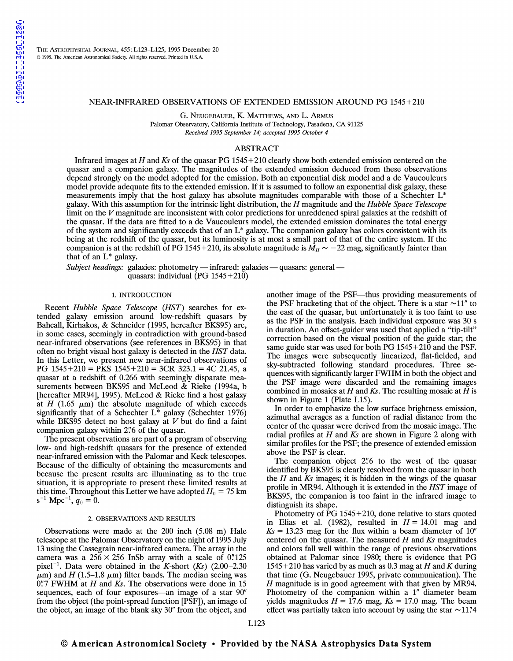## NEAR-INFRARED OBSERVATIONS OF EXTENDED EMISSION AROUND PG 1545+210

G. NEUGEBAUER, K. MATIHEWS, AND L. ARMUS

Palomar Observatory, California Institute of Technology, Pasadena, CA 91125 *Received 1995 September 14; accepted 1995 October 4* 

# ABSTRACT

Infrared images at Hand *Ks* of the quasar PG 1545 + 210 clearly show both extended emission centered on the quasar and a companion galaxy. The magnitudes of the extended emission deduced from these observations depend strongly on the model adopted for the emission. Both an exponential disk model and a de Vaucouleurs model provide adequate fits to the extended emission. If it is assumed to follow an exponential disk galaxy, these measurements imply that the host galaxy has absolute magnitudes comparable with those of a Schechter  $L^*$ galaxy. With this assumption for the intrinsic light distribution, the *H* magnitude and the *Hubble Space Telescope*  limit on the *V* magnitude are inconsistent with color predictions for unreddened spiral galaxies at the redshift of the quasar. If the data are fitted to a de Vaucouleurs model, the extended emission dominates the total energy of the system and significantly exceeds that of an  $L^*$  galaxy. The companion galaxy has colors consistent with its being at the redshift of the quasar, but its luminosity is at most a small part of that of the entire system. If the companion is at the redshift of PG 1545+210, its absolute magnitude is  $\dot{M_H} \sim -22$  mag, significantly fainter than that of an  $L^*$  galaxy.

*Subject headings:* galaxies: photometry — infrared: galaxies — quasars: general quasars: individual (PG  $1545+210$ )

#### 1. INTRODUCTION

Recent *Hubble Space Telescope (HST)* searches for extended galaxy emission around low-redshift quasars by Bahcall, Kirhakos, & Schneider (1995, hereafter BKS95) are, in some cases, seemingly in contradiction with ground-based near-infrared observations (see references in BKS95) in that often no bright visual host galaxy is detected in the *HST* data. In this Letter, we present new near-infrared observations of PG  $1545+210 =$  PKS  $1545+210 = 3CR$  323.1 = 4C 21.45, a quasar at a redshift of 0.266 with seemingly disparate measurements between BKS95 and McLeod & Rieke (1994a, b [hereafter MR94], 1995). McLeod & Rieke find a host galaxy at H (1.65  $\mu$ m) the absolute magnitude of which exceeds significantly that of a Schechter  $L^*$  galaxy (Schechter 1976) while BKS95 detect no host galaxy at *V* but do find a faint companion galaxy within 2"6 of the quasar.

The present observations are part of a program of observing low- and high-redshift quasars for the presence of extended near-infrared emission with the Palomar and Keck telescopes. Because of the difficulty of obtaining the measurements and because the present results are illuminating as to the true situation, it is appropriate to present these limited results at this time. Throughout this Letter we have adopted  $H_0 = 75$  km  $s^{-1}$  Mpc<sup>-1</sup>,  $q_0 = 0$ .

## 2. OBSERVATIONS AND RESULTS

Observations were made at the 200 inch (5.08 m) Hale telescope at the Palomar Observatory on the night of 1995 July 13 using the Cassegrain near-infrared camera. The array in the camera was a  $256 \times 256$  InSb array with a scale of 0.7125 pixel<sup>-1</sup>. Data were obtained in the K-short  $(Ks)$  (2.00–2.30)  $\mu$ m) and H (1.5–1.8  $\mu$ m) filter bands. The median seeing was 0.7 FWHM at H and Ks. The observations were done in 15 sequences, each of four exposures—an image of a star 90" from the object (the point-spread function [PSF]), an image of the object, an image of the blank sky 30" from the object, and

another image of the PSF—thus providing measurements of the PSF bracketing that of the object. There is a star  $\sim$ 11" to the east of the quasar, but unfortunately it is too faint to use as the PSF in the analysis. Each individual exposure was 30 s in duration. An offset-guider was used that applied a "tip-tilt" correction based on the visual position of the guide star; the same guide star was used for both PG 1545+210 and the PSF. The images were subsequently linearized, flat-fielded, and sky-subtracted following standard procedures. Three sequences with significantly larger FWHM in both the object and the PSF image were discarded and the remaining images combined in mosaics at H and  $Ks$ . The resulting mosaic at  $\bar{H}$  is shown in Figure 1 (Plate L15).

In order to emphasize the low surface brightness emission, azimuthal averages as a function of radial distance from the center of the quasar were derived from the mosaic image. The radial profiles at H and *Ks* are shown in Figure 2 along with similar profiles for the PSF; the presence of extended emission above the PSF is clear.

The companion object 2"6 to the west of the quasar identified by BKS95 is clearly resolved from the quasar in both the  $H$  and  $Ks$  images; it is hidden in the wings of the quasar profile in MR94. Although it is extended in the *HST* image of BKS95, the companion is too faint in the infrared image to distinguish its shape.

Photometry of PG 1545+210, done relative to stars quoted in Elias et al. (1982), resulted in  $H = 14.01$  mag and  $Ks = 13.23$  mag for the flux within a beam diameter of 10" centered on the quasar. The measured H and *Ks* magnitudes and colors fall well within the range of previous observations obtained at Palomar since 1980; there is evidence that PG  $1545 + 210$  has varied by as much as 0.3 mag at H and K during that time (G. Neugebauer 1995, private communication). The H magnitude is in good agreement with that given by MR94. Photometry of the companion within a 1" diameter beam yields magnitudes  $H = 17.6$  mag,  $Ks = 17.0$  mag. The beam effect was partially taken into account by using the star  $\sim$ 11".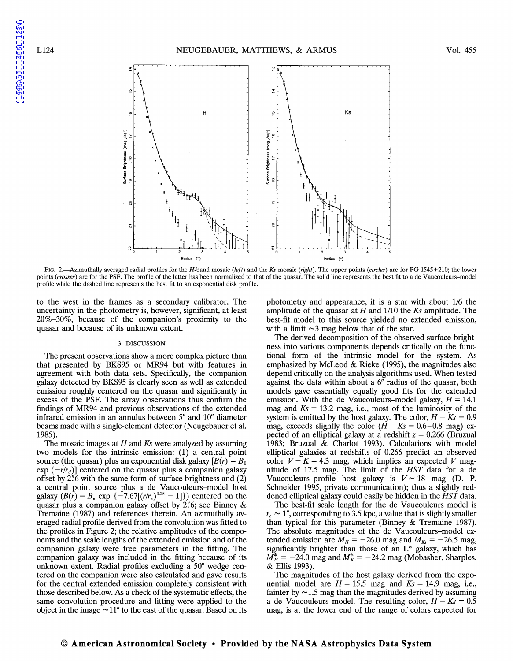

FIG. 2.-Azimuthally averaged radial profiles for the H-band mosaic *(left)* and the *Ks* mosaic *(right).* The upper points *(circles)* are for PG 1545+210; the lower points *(crosses)* are for the PSF. The profile of the latter has been normalized to that of the quasar. The solid line represents the best fit to a de Vaucouleurs-model profile while the dashed line represents the best fit to an exponential disk profile.

to the west in the frames as a secondary calibrator. The uncertainty in the photometry is, however, significant, at least 20%-30%, because of the companion's proximity to the quasar and because of its unknown extent.

#### 3. DISCUSSION

The present observations show a more complex picture than that presented by BKS95 or MR94 but with features in agreement with both data sets. Specifically, the companion galaxy detected by BKS95 is clearly seen as well as extended emission roughly centered on the quasar and significantly in excess of the PSF. The array observations thus confirm the findings of MR94 and previous observations of the extended infrared emission in an annulus between 5" and 10" diameter beams made with a single-element detector (Neugebauer et al. 1985).

The mosaic images at H and *Ks* were analyzed by assuming two models for the intrinsic emission: (1) a central point source (the quasar) plus an exponential disk galaxy  $[B(r) = B_0]$  $\exp(-r/r_d)$ ] centered on the quasar plus a companion galaxy offset by  $2\degree 6$  with the same form of surface brightness and  $(2)$ a central point source plus a de Vaucouleurs-model host galaxy  $(B(r) = B_e \exp \{-7.67[(r/r_e)^{0.25} - 1]\})$  centered on the quasar plus a companion galaxy offset by  $2\degree$ 6; see Binney & Tremaine (1987) and references therein. An azimuthally averaged radial profile derived from the convolution was fitted to the profiles in Figure 2; the relative amplitudes of the components and the scale lengths of the extended emission and of the companion galaxy were free parameters in the fitting. The companion galaxy was included in the fitting because of its unknown extent. Radial profiles excluding a 50° wedge centered on the companion were also calculated and gave results for the central extended emission completely consistent with those described below. As a check of the systematic effects, the same convolution procedure and fitting were applied to the object in the image  $\sim 11$ " to the east of the quasar. Based on its

photometry and appearance, it is a star with about 1/6 the amplitude of the quasar at H and 1/10 the *Ks* amplitude. The best-fit model to this source yielded no extended emission, with a limit  $\sim$ 3 mag below that of the star.

The derived decomposition of the observed surface brightness into various components depends critically on the functional form of the intrinsic model for the system. As emphasized by McLeod & Rieke (1995), the magnitudes also depend critically on the analysis algorithms used. When tested against the data within about a 6" radius of the quasar, both models gave essentially equally good fits for the extended emission. With the de Vaucouleurs-model galaxy,  $H = 14.1$ mag and  $Ks = 13.2$  mag, i.e., most of the luminosity of the system is emitted by the host galaxy. The color,  $H - Ks = 0.9$ mag, exceeds slightly the color  $(H - Ks = 0.6 - 0.8$  mag) expected of an elliptical galaxy at a redshift *z* = 0.266 (Bruzual 1983; Bruzual & Charlot 1993). Calculations with model elliptical galaxies at redshifts of 0.266 predict an observed color  $V - K = 4.3$  mag, which implies an expected V magnitude of 17.5 mag. The limit of the *HST* data for a de Vaucouleurs-profile host galaxy is  $V \sim 18$  mag (D. P. Schneider 1995, private communication); thus a slightly reddened elliptical galaxy could easily be hidden in the *HST* data.

The best-fit scale length for the de Vaucouleurs model is  $r_e \sim 1$ ", corresponding to 3.5 kpc, a value that is slightly smaller than typical for this parameter (Binney & Tremaine 1987). The absolute magnitudes of the de Vaucouleurs-model extended emission are  $M_H = -26.0$  mag and  $M_{Ks} = -26.5$  mag, significantly brighter than those of an  $L^*$  galaxy, which has  $M_H^* = -24.0$  mag and  $M_K^* = -24.2$  mag (Mobasher, Sharples, & Ellis 1993).

The magnitudes of the host galaxy derived from the exponential model are  $H = 15.5$  mag and  $Ks = 14.9$  mag, i.e., fainter by  $\sim$ 1.5 mag than the magnitudes derived by assuming a de Vaucouleurs model. The resulting color,  $H - Ks = 0.5$ mag, is at the lower end of the range of colors expected for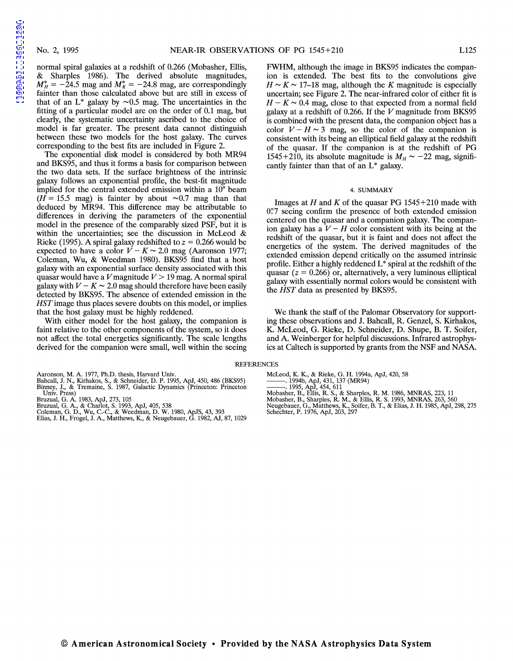normal spiral galaxies at a redshift of 0.266 (Mobasher, Ellis, & Sharples 1986). The derived absolute magnitudes,  $M_H^* = -24.5$  mag and  $M_K^* = -24.8$  mag, are correspondingly fainter than those calculated above but are still in excess of that of an  $L^*$  galaxy by  $\sim 0.5$  mag. The uncertainties in the fitting of a particular model are on the order of 0.1 mag, but clearly, the systematic uncertainty ascribed to the choice of model is far greater. The present data cannot distinguish between these two models for the host galaxy. The curves corresponding to the best fits are included in Figure 2.

The exponential disk model is considered by both MR94 and BKS95, and thus it forms a basis for comparison between the two data sets. If the surface brightness of the intrinsic galaxy follows an exponential profile, the best-fit magnitude implied for the central extended emission within a 10" beam  $(H = 15.5 \text{ mag})$  is fainter by about  $\sim 0.7 \text{ mag}$  than that deduced by MR94. This difference may be attributable to differences in deriving the parameters of the exponential model in the presence of the comparably sized PSF, but it is within the uncertainties; see the discussion in McLeod  $\&$ Rieke (1995). A spiral galaxy redshifted to  $z = 0.266$  would be expected to have a color  $V - K \sim 2.0$  mag (Aaronson 1977; Coleman, Wu, & Weedman 1980). BKS95 find that a host galaxy with an exponential surface density associated with this quasar would have a *V* magnitude *V* > 19 mag. A normal spiral galaxy with  $V - K \sim 2.0$  mag should therefore have been easily detected by BKS95. The absence of extended emission in the *HST* image thus places severe doubts on this model, or implies that the host galaxy must be highly reddened.

With either model for the host galaxy, the companion is faint relative to the other components of the system, so it does not affect the total energetics significantly. The scale lengths derived for the companion were small, well within the seeing

- Aaronson, M. A. 1977, Ph.D. thesis, Harvard Univ.<br>Bahcall, J. N., Kirhakos, S., & Schneider, D. P. 1995, ApJ, 450, 486 (BKS95)<br>Binney, J., & Trenaine, S. 1987, Galactic Dynamics (Princeton: Princeton<br>Univ. Press)<br>Bruzual,
- 
- 
- 
- Elias, J. H., Frogel, J. A., Matthews, K., & Neugebauer, G. 1982, AJ, 87, 1029

FWHM, although the image in BKS95 indicates the companion is extended. The best fits to the convolutions give  $H \sim K \sim 17$ –18 mag, although the *K* magnitude is especially uncertain; see Figure 2. The near-infrared color of either fit is  $H - K \sim 0.4$  mag, close to that expected from a normal field galaxy at a redshift of 0.266. If the *V* magnitude from BKS95 is combined with the present data, the companion object has a color  $V - H \sim 3$  mag, so the color of the companion is consistent with its being an elliptical field galaxy at the redshift of the quasar. If the companion is at the redshift of PG 1545+210, its absolute magnitude is  $M_H \sim -22$  mag, significantly fainter than that of an  $L^*$  galaxy.

### 4. SUMMARY

Images at H and K of the quasar PG  $1545+210$  made with 0.7 seeing confirm the presence of both extended emission centered on the quasar and a companion galaxy. The companion galaxy has a  $V-H$  color consistent with its being at the redshift of the quasar, but it is faint and does not affect the energetics of the system. The derived magnitudes of the extended emission depend critically on the assumed intrinsic profile. Either a highly reddened  $L^*$  spiral at the redshift of the quasar ( $z = 0.266$ ) or, alternatively, a very luminous elliptical galaxy with essentially normal colors would be consistent with the *HST* data as presented by BKS95.

We thank the staff of the Palomar Observatory for supporting these observations and **J.** Bahcall, R. Genzel, S. Kirhakos, K. McLeod, G. Rieke, D. Schneider, D. Shupe, B. T. Soifer, and A. Weinberger for helpful discussions. Infrared astrophysics at Caltech is supported by grants from the NSF and NASA.

# **REFERENCES**

- McLeod, K. K., & Rieke, G. H. 1994a, ApJ, 420, 58
- 
- 
- 
- 
- McLeod, K. K., & Rieke, G. H. 1994a, ApJ, 420, 58<br>
—— 1994b, ApJ, 431, 137 (MR94)<br>
—— 1995, ApJ, 454, 611<br>
Mobasher, B., Ellis, R. S., & Sharples, R. M. 1986, MNRAS, 223, 11<br>
Mobasher, B., Sharples, R. M., & Ellis, R. S. 1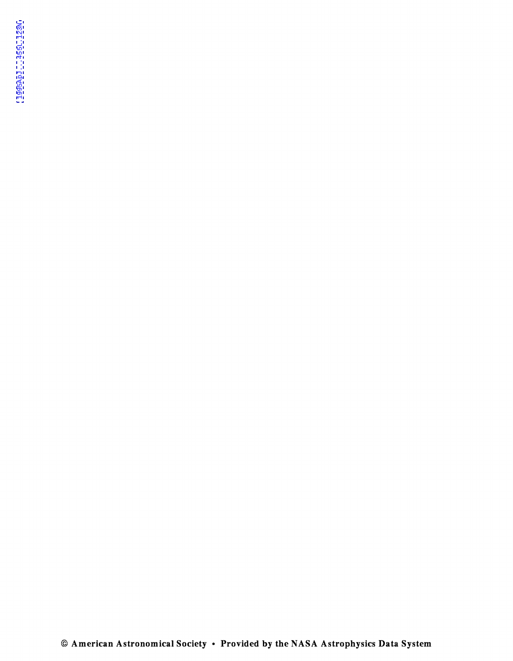1995ApJ...455L.123N [1995ApJ...455L.123N](http://adsabs.harvard.edu/abs/1995ApJ...455L.123N)